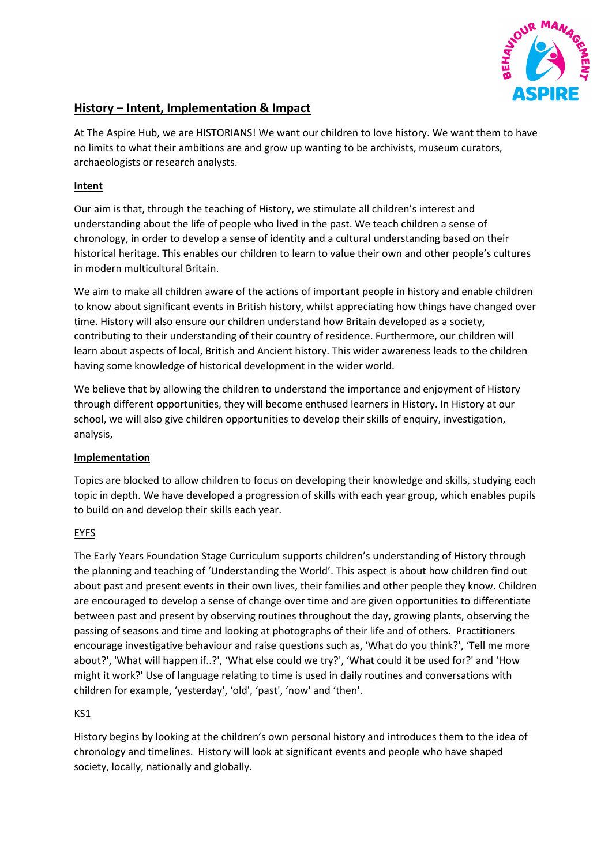

# **History – Intent, Implementation & Impact**

At The Aspire Hub, we are HISTORIANS! We want our children to love history. We want them to have no limits to what their ambitions are and grow up wanting to be archivists, museum curators, archaeologists or research analysts.

# **Intent**

Our aim is that, through the teaching of History, we stimulate all children's interest and understanding about the life of people who lived in the past. We teach children a sense of chronology, in order to develop a sense of identity and a cultural understanding based on their historical heritage. This enables our children to learn to value their own and other people's cultures in modern multicultural Britain.

We aim to make all children aware of the actions of important people in history and enable children to know about significant events in British history, whilst appreciating how things have changed over time. History will also ensure our children understand how Britain developed as a society, contributing to their understanding of their country of residence. Furthermore, our children will learn about aspects of local, British and Ancient history. This wider awareness leads to the children having some knowledge of historical development in the wider world.

We believe that by allowing the children to understand the importance and enjoyment of History through different opportunities, they will become enthused learners in History. In History at our school, we will also give children opportunities to develop their skills of enquiry, investigation, analysis,

#### **Implementation**

Topics are blocked to allow children to focus on developing their knowledge and skills, studying each topic in depth. We have developed a progression of skills with each year group, which enables pupils to build on and develop their skills each year.

# EYFS

The Early Years Foundation Stage Curriculum supports children's understanding of History through the planning and teaching of 'Understanding the World'. This aspect is about how children find out about past and present events in their own lives, their families and other people they know. Children are encouraged to develop a sense of change over time and are given opportunities to differentiate between past and present by observing routines throughout the day, growing plants, observing the passing of seasons and time and looking at photographs of their life and of others. Practitioners encourage investigative behaviour and raise questions such as, 'What do you think?', 'Tell me more about?', 'What will happen if..?', 'What else could we try?', 'What could it be used for?' and 'How might it work?' Use of language relating to time is used in daily routines and conversations with children for example, 'yesterday', 'old', 'past', 'now' and 'then'.

# KS1

History begins by looking at the children's own personal history and introduces them to the idea of chronology and timelines. History will look at significant events and people who have shaped society, locally, nationally and globally.